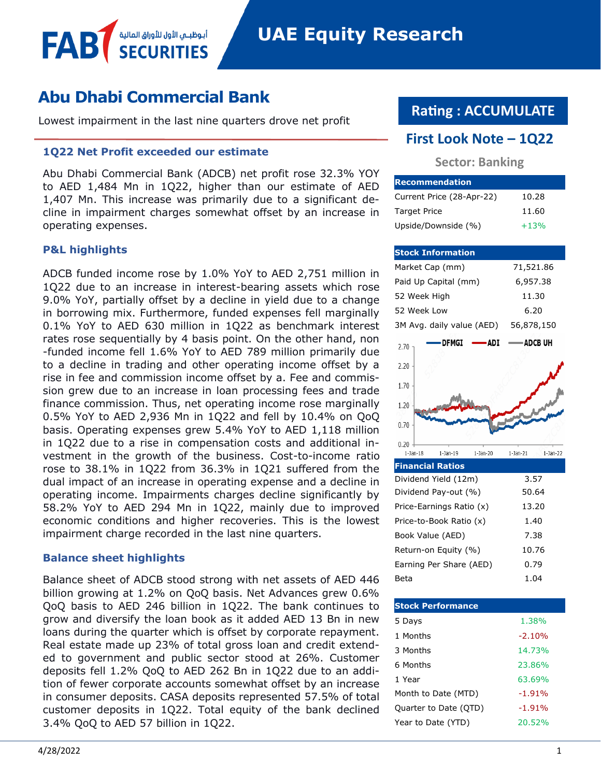# **Abu Dhabi Commercial Bank**

أبوظبـي الأول للأوراق المالية<br>SFCLIRITIFS

Lowest impairment in the last nine quarters drove net profit

#### **1Q22 Net Profit exceeded our estimate**

Abu Dhabi Commercial Bank (ADCB) net profit rose 32.3% YOY to AED 1,484 Mn in 1Q22, higher than our estimate of AED 1,407 Mn. This increase was primarily due to a significant decline in impairment charges somewhat offset by an increase in operating expenses.

#### **P&L highlights**

**FAB** 

ADCB funded income rose by 1.0% YoY to AED 2,751 million in 1Q22 due to an increase in interest-bearing assets which rose 9.0% YoY, partially offset by a decline in yield due to a change in borrowing mix. Furthermore, funded expenses fell marginally 0.1% YoY to AED 630 million in 1Q22 as benchmark interest rates rose sequentially by 4 basis point. On the other hand, non -funded income fell 1.6% YoY to AED 789 million primarily due to a decline in trading and other operating income offset by a rise in fee and commission income offset by a. Fee and commission grew due to an increase in loan processing fees and trade finance commission. Thus, net operating income rose marginally 0.5% YoY to AED 2,936 Mn in 1Q22 and fell by 10.4% on QoQ basis. Operating expenses grew 5.4% YoY to AED 1,118 million in 1Q22 due to a rise in compensation costs and additional investment in the growth of the business. Cost-to-income ratio rose to 38.1% in 1Q22 from 36.3% in 1Q21 suffered from the dual impact of an increase in operating expense and a decline in operating income. Impairments charges decline significantly by 58.2% YoY to AED 294 Mn in 1Q22, mainly due to improved economic conditions and higher recoveries. This is the lowest impairment charge recorded in the last nine quarters.

#### **Balance sheet highlights**

Balance sheet of ADCB stood strong with net assets of AED 446 billion growing at 1.2% on QoQ basis. Net Advances grew 0.6% QoQ basis to AED 246 billion in 1Q22. The bank continues to grow and diversify the loan book as it added AED 13 Bn in new loans during the quarter which is offset by corporate repayment. Real estate made up 23% of total gross loan and credit extended to government and public sector stood at 26%. Customer deposits fell 1.2% QoQ to AED 262 Bn in 1Q22 due to an addition of fewer corporate accounts somewhat offset by an increase in consumer deposits. CASA deposits represented 57.5% of total customer deposits in 1Q22. Total equity of the bank declined 3.4% QoQ to AED 57 billion in 1Q22.

# **Rating : ACCUMULATE**

# **First Look Note – 1Q22**

## **Sector: Banking**

| <b>Recommendation</b>     |        |
|---------------------------|--------|
| Current Price (28-Apr-22) | 10.28  |
| <b>Target Price</b>       | 11.60  |
| Upside/Downside (%)       | $+13%$ |

| <b>Stock Information</b>                           |                           |
|----------------------------------------------------|---------------------------|
| Market Cap (mm)                                    | 71,521.86                 |
| Paid Up Capital (mm)                               | 6,957.38                  |
| 52 Week High                                       | 11.30                     |
| 52 Week Low                                        | 6.20                      |
| 3M Avg. daily value (AED)                          | 56,878,150                |
| <b>DFMGI</b><br><b>-ADI</b><br>2.70                | —— ADCB UH                |
| 2.20                                               |                           |
| 1.70                                               |                           |
| 1.20                                               |                           |
|                                                    |                           |
| 0.70                                               |                           |
| 0.20<br>$1$ -Jan- $18$<br>$1-Jan-19$<br>$1-Jan-20$ | $1$ -Jan-21<br>$1-Jan-22$ |
| <b>Financial Ratios</b>                            |                           |
| Dividend Yield (12m)                               | 3.57                      |
| Dividend Pay-out (%)                               | 50.64                     |
| Price-Earnings Ratio (x)                           | 13.20                     |
| Price-to-Book Ratio (x)                            | 1.40                      |
| Book Value (AED)                                   | 7.38                      |
| Return-on Equity (%)                               | 10.76                     |
| Earning Per Share (AED)                            | 0.79                      |
| Beta                                               | 1.04                      |

| <b>Stock Performance</b> |          |
|--------------------------|----------|
| 5 Days                   | 1.38%    |
| 1 Months                 | $-2.10%$ |
| 3 Months                 | 14.73%   |
| 6 Months                 | 23.86%   |
| 1 Year                   | 63.69%   |
| Month to Date (MTD)      | $-1.91%$ |
| Quarter to Date (QTD)    | $-1.91%$ |
| Year to Date (YTD)       | 20.52%   |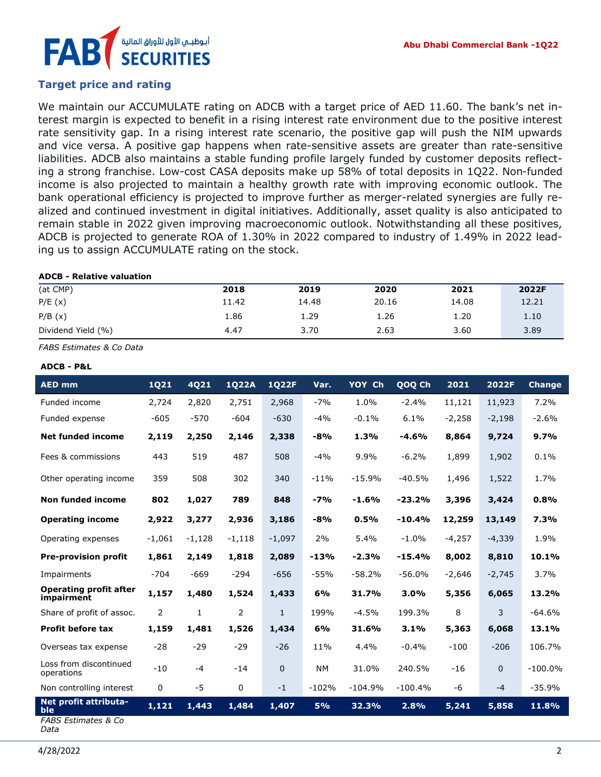# أبوظبــي الأول للأوراق الماليا FA

## **Target price and rating**

We maintain our ACCUMULATE rating on ADCB with a target price of AED 11.60. The bank's net interest margin is expected to benefit in a rising interest rate environment due to the positive interest rate sensitivity gap. In a rising interest rate scenario, the positive gap will push the NIM upwards and vice versa. A positive gap happens when rate-sensitive assets are greater than rate-sensitive liabilities. ADCB also maintains a stable funding profile largely funded by customer deposits reflecting a strong franchise. Low-cost CASA deposits make up 58% of total deposits in 1Q22. Non-funded income is also projected to maintain a healthy growth rate with improving economic outlook. The bank operational efficiency is projected to improve further as merger-related synergies are fully realized and continued investment in digital initiatives. Additionally, asset quality is also anticipated to remain stable in 2022 given improving macroeconomic outlook. Notwithstanding all these positives, ADCB is projected to generate ROA of 1.30% in 2022 compared to industry of 1.49% in 2022 leading us to assign ACCUMULATE rating on the stock.

#### **ADCB - Relative valuation**

| (at CMP)           | 2018  | 2019  | 2020  | 2021  | 2022F |
|--------------------|-------|-------|-------|-------|-------|
| P/E(x)             | 11.42 | 14.48 | 20.16 | 14.08 | 12.21 |
| P/B(x)             | 1.86  | 1.29  | 1.26  | 1.20  | 1.10  |
| Dividend Yield (%) | 4.47  | 3.70  | 2.63  | 3.60  | 3.89  |

*FABS Estimates & Co Data*

| <b>AED mm</b>                                       | <b>1Q21</b> | 4Q21     | 1Q22A          | <b>1Q22F</b> | Var.      | YOY Ch    | QOQ Ch    | 2021     | 2022F        | <b>Change</b> |
|-----------------------------------------------------|-------------|----------|----------------|--------------|-----------|-----------|-----------|----------|--------------|---------------|
| Funded income                                       | 2,724       | 2,820    | 2,751          | 2,968        | $-7%$     | 1.0%      | $-2.4%$   | 11,121   | 11,923       | 7.2%          |
| Funded expense                                      | $-605$      | $-570$   | $-604$         | $-630$       | $-4%$     | $-0.1%$   | 6.1%      | $-2,258$ | $-2,198$     | $-2.6%$       |
| <b>Net funded income</b>                            | 2,119       | 2,250    | 2,146          | 2,338        | $-8%$     | 1.3%      | $-4.6%$   | 8,864    | 9,724        | 9.7%          |
| Fees & commissions                                  | 443         | 519      | 487            | 508          | $-4%$     | 9.9%      | $-6.2%$   | 1,899    | 1,902        | 0.1%          |
| Other operating income                              | 359         | 508      | 302            | 340          | $-11%$    | $-15.9%$  | $-40.5%$  | 1,496    | 1,522        | 1.7%          |
| <b>Non funded income</b>                            | 802         | 1,027    | 789            | 848          | $-7%$     | $-1.6%$   | $-23.2%$  | 3,396    | 3,424        | 0.8%          |
| <b>Operating income</b>                             | 2,922       | 3,277    | 2,936          | 3,186        | $-8%$     | 0.5%      | $-10.4%$  | 12,259   | 13,149       | 7.3%          |
| Operating expenses                                  | $-1,061$    | $-1,128$ | $-1,118$       | $-1,097$     | 2%        | 5.4%      | $-1.0%$   | $-4,257$ | $-4,339$     | 1.9%          |
| <b>Pre-provision profit</b>                         | 1,861       | 2,149    | 1,818          | 2,089        | $-13%$    | $-2.3%$   | $-15.4%$  | 8,002    | 8,810        | 10.1%         |
| Impairments                                         | $-704$      | $-669$   | $-294$         | $-656$       | $-55%$    | $-58.2%$  | $-56.0%$  | $-2,646$ | $-2,745$     | 3.7%          |
| <b>Operating profit after</b><br>impairment         | 1,157       | 1,480    | 1,524          | 1,433        | 6%        | 31.7%     | 3.0%      | 5,356    | 6,065        | 13.2%         |
| Share of profit of assoc.                           | 2           | 1        | $\overline{2}$ | $\mathbf{1}$ | 199%      | $-4.5%$   | 199.3%    | 8        | 3            | $-64.6%$      |
| <b>Profit before tax</b>                            | 1,159       | 1,481    | 1,526          | 1,434        | 6%        | 31.6%     | 3.1%      | 5,363    | 6,068        | 13.1%         |
| Overseas tax expense                                | $-28$       | $-29$    | $-29$          | $-26$        | 11%       | 4.4%      | $-0.4%$   | $-100$   | $-206$       | 106.7%        |
| Loss from discontinued<br>operations                | $-10$       | $-4$     | $-14$          | $\mathbf{0}$ | <b>NM</b> | 31.0%     | 240.5%    | $-16$    | $\mathbf{0}$ | $-100.0\%$    |
| Non controlling interest                            | 0           | $-5$     | 0              | $-1$         | $-102%$   | $-104.9%$ | $-100.4%$ | $-6$     | $-4$         | $-35.9%$      |
| Net profit attributa-<br>ble<br>FABS Estimates & Co | 1,121       | 1,443    | 1,484          | 1,407        | 5%        | 32.3%     | 2.8%      | 5,241    | 5,858        | 11.8%         |

#### **ADCB - P&L**

*Data*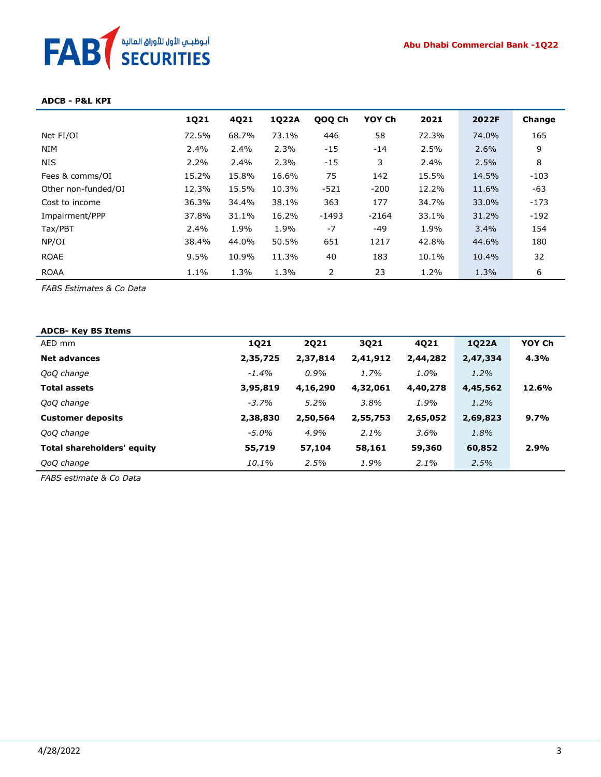#### **Abu Dhabi Commercial Bank -1Q22**



#### **ADCB - P&L KPI**

|                     | 1Q21    | 4Q21  | 1Q22A | QOQ Ch  | YOY Ch  | 2021  | 2022F | Change |
|---------------------|---------|-------|-------|---------|---------|-------|-------|--------|
| Net FI/OI           | 72.5%   | 68.7% | 73.1% | 446     | 58      | 72.3% | 74.0% | 165    |
| <b>NIM</b>          | 2.4%    | 2.4%  | 2.3%  | $-15$   | $-14$   | 2.5%  | 2.6%  | 9      |
| <b>NIS</b>          | 2.2%    | 2.4%  | 2.3%  | $-15$   | 3       | 2.4%  | 2.5%  | 8      |
| Fees & comms/OI     | 15.2%   | 15.8% | 16.6% | 75      | 142     | 15.5% | 14.5% | $-103$ |
| Other non-funded/OI | 12.3%   | 15.5% | 10.3% | $-521$  | $-200$  | 12.2% | 11.6% | $-63$  |
| Cost to income      | 36.3%   | 34.4% | 38.1% | 363     | 177     | 34.7% | 33.0% | $-173$ |
| Impairment/PPP      | 37.8%   | 31.1% | 16.2% | $-1493$ | $-2164$ | 33.1% | 31.2% | $-192$ |
| Tax/PBT             | $2.4\%$ | 1.9%  | 1.9%  | $-7$    | $-49$   | 1.9%  | 3.4%  | 154    |
| NP/OI               | 38.4%   | 44.0% | 50.5% | 651     | 1217    | 42.8% | 44.6% | 180    |
| <b>ROAE</b>         | 9.5%    | 10.9% | 11.3% | 40      | 183     | 10.1% | 10.4% | 32     |
| <b>ROAA</b>         | 1.1%    | 1.3%  | 1.3%  | 2       | 23      | 1.2%  | 1.3%  | 6      |

*FABS Estimates & Co Data*

| <b>ADCB- Key BS Items</b>  |             |          |          |          |          |        |
|----------------------------|-------------|----------|----------|----------|----------|--------|
| AED mm                     | <b>1Q21</b> | 2021     | 3Q21     | 4Q21     | 1022A    | YOY Ch |
| <b>Net advances</b>        | 2,35,725    | 2,37,814 | 2,41,912 | 2,44,282 | 2,47,334 | 4.3%   |
| QoQ change                 | $-1.4%$     | 0.9%     | 1.7%     | 1.0%     | $1.2\%$  |        |
| <b>Total assets</b>        | 3,95,819    | 4,16,290 | 4,32,061 | 4,40,278 | 4,45,562 | 12.6%  |
| QoQ change                 | $-3.7%$     | 5.2%     | 3.8%     | 1.9%     | 1.2%     |        |
| <b>Customer deposits</b>   | 2,38,830    | 2,50,564 | 2,55,753 | 2,65,052 | 2,69,823 | 9.7%   |
| QoQ change                 | $-5.0\%$    | 4.9%     | 2.1%     | 3.6%     | 1.8%     |        |
| Total shareholders' equity | 55,719      | 57,104   | 58,161   | 59,360   | 60,852   | 2.9%   |
| QoQ change                 | 10.1%       | 2.5%     | 1.9%     | $2.1\%$  | 2.5%     |        |

*FABS estimate & Co Data*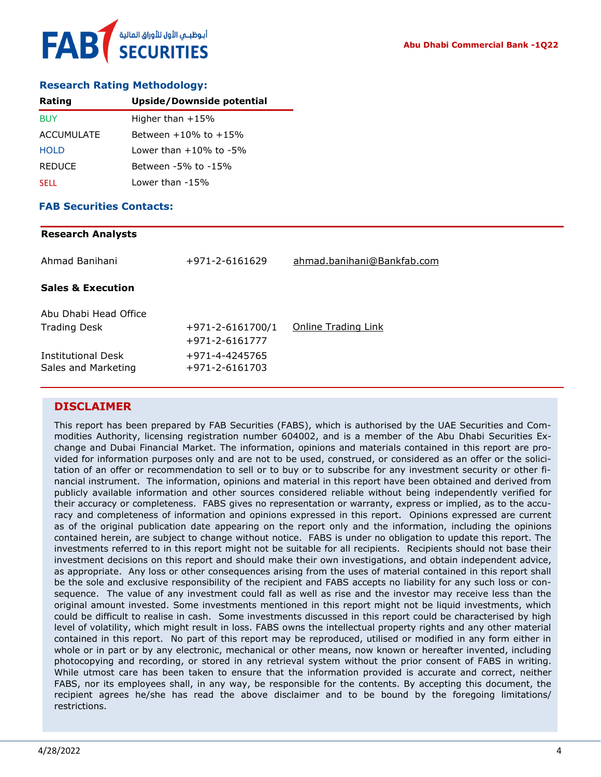#### **Research Rating Methodology:**

| Rating            | Upside/Downside potential    |
|-------------------|------------------------------|
| <b>BUY</b>        | Higher than $+15%$           |
| <b>ACCUMULATE</b> | Between $+10\%$ to $+15\%$   |
| <b>HOLD</b>       | Lower than $+10\%$ to $-5\%$ |
| <b>REDUCE</b>     | Between -5% to -15%          |
| <b>SELL</b>       | Lower than $-15%$            |

#### **FAB Securities Contacts:**

#### **Research Analysts**

| Ahmad Banihani                               | +971-2-6161629                           | ahmad.banihani@Bankfab.com |
|----------------------------------------------|------------------------------------------|----------------------------|
| <b>Sales &amp; Execution</b>                 |                                          |                            |
| Abu Dhabi Head Office<br><b>Trading Desk</b> | $+971 - 2 - 6161700/1$<br>+971-2-6161777 | Online Trading Link        |
| Institutional Desk<br>Sales and Marketing    | +971-4-4245765<br>+971-2-6161703         |                            |

#### **DISCLAIMER**

This report has been prepared by FAB Securities (FABS), which is authorised by the UAE Securities and Commodities Authority, licensing registration number 604002, and is a member of the Abu Dhabi Securities Exchange and Dubai Financial Market. The information, opinions and materials contained in this report are provided for information purposes only and are not to be used, construed, or considered as an offer or the solicitation of an offer or recommendation to sell or to buy or to subscribe for any investment security or other financial instrument. The information, opinions and material in this report have been obtained and derived from publicly available information and other sources considered reliable without being independently verified for their accuracy or completeness. FABS gives no representation or warranty, express or implied, as to the accuracy and completeness of information and opinions expressed in this report. Opinions expressed are current as of the original publication date appearing on the report only and the information, including the opinions contained herein, are subject to change without notice. FABS is under no obligation to update this report. The investments referred to in this report might not be suitable for all recipients. Recipients should not base their investment decisions on this report and should make their own investigations, and obtain independent advice, as appropriate. Any loss or other consequences arising from the uses of material contained in this report shall be the sole and exclusive responsibility of the recipient and FABS accepts no liability for any such loss or consequence. The value of any investment could fall as well as rise and the investor may receive less than the original amount invested. Some investments mentioned in this report might not be liquid investments, which could be difficult to realise in cash. Some investments discussed in this report could be characterised by high level of volatility, which might result in loss. FABS owns the intellectual property rights and any other material contained in this report. No part of this report may be reproduced, utilised or modified in any form either in whole or in part or by any electronic, mechanical or other means, now known or hereafter invented, including photocopying and recording, or stored in any retrieval system without the prior consent of FABS in writing. While utmost care has been taken to ensure that the information provided is accurate and correct, neither FABS, nor its employees shall, in any way, be responsible for the contents. By accepting this document, the recipient agrees he/she has read the above disclaimer and to be bound by the foregoing limitations/ restrictions.